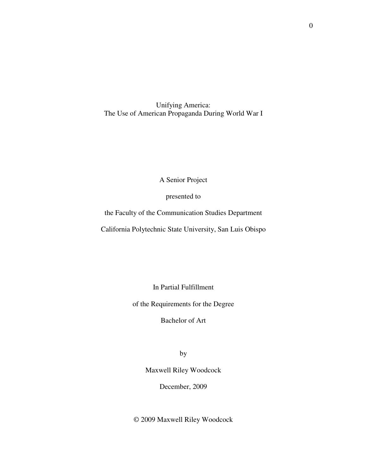Unifying America: The Use of American Propaganda During World War I

A Senior Project

presented to

the Faculty of the Communication Studies Department

California Polytechnic State University, San Luis Obispo

In Partial Fulfillment

of the Requirements for the Degree

Bachelor of Art

by

Maxwell Riley Woodcock

December, 2009

© 2009 Maxwell Riley Woodcock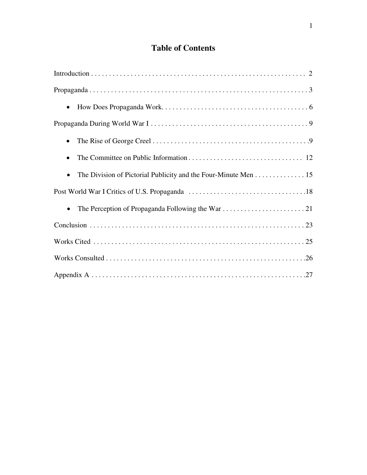# **Table of Contents**

| $\bullet$                                                      |
|----------------------------------------------------------------|
|                                                                |
| $\bullet$                                                      |
|                                                                |
| The Division of Pictorial Publicity and the Four-Minute Men 15 |
|                                                                |
| $\bullet$                                                      |
|                                                                |
|                                                                |
|                                                                |
|                                                                |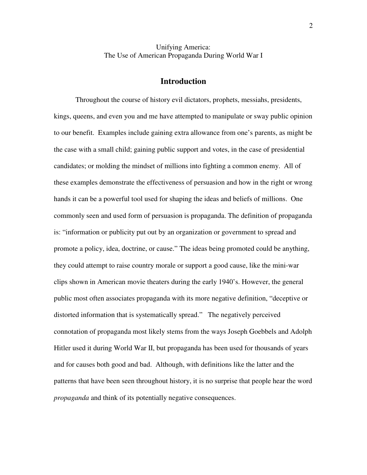## Unifying America: The Use of American Propaganda During World War I

### **Introduction**

 Throughout the course of history evil dictators, prophets, messiahs, presidents, kings, queens, and even you and me have attempted to manipulate or sway public opinion to our benefit. Examples include gaining extra allowance from one's parents, as might be the case with a small child; gaining public support and votes, in the case of presidential candidates; or molding the mindset of millions into fighting a common enemy. All of these examples demonstrate the effectiveness of persuasion and how in the right or wrong hands it can be a powerful tool used for shaping the ideas and beliefs of millions. One commonly seen and used form of persuasion is propaganda. The definition of propaganda is: "information or publicity put out by an organization or government to spread and promote a policy, idea, doctrine, or cause." The ideas being promoted could be anything, they could attempt to raise country morale or support a good cause, like the mini-war clips shown in American movie theaters during the early 1940's. However, the general public most often associates propaganda with its more negative definition, "deceptive or distorted information that is systematically spread." The negatively perceived connotation of propaganda most likely stems from the ways Joseph Goebbels and Adolph Hitler used it during World War II, but propaganda has been used for thousands of years and for causes both good and bad. Although, with definitions like the latter and the patterns that have been seen throughout history, it is no surprise that people hear the word *propaganda* and think of its potentially negative consequences.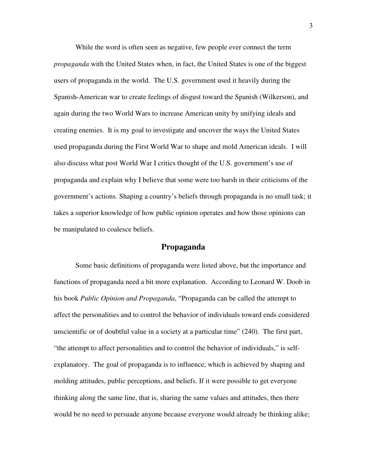While the word is often seen as negative, few people ever connect the term *propaganda* with the United States when, in fact, the United States is one of the biggest users of propaganda in the world. The U.S. government used it heavily during the Spanish-American war to create feelings of disgust toward the Spanish (Wilkerson), and again during the two World Wars to increase American unity by unifying ideals and creating enemies. It is my goal to investigate and uncover the ways the United States used propaganda during the First World War to shape and mold American ideals. I will also discuss what post World War I critics thought of the U.S. government's use of propaganda and explain why I believe that some were too harsh in their criticisms of the government's actions. Shaping a country's beliefs through propaganda is no small task; it takes a superior knowledge of how public opinion operates and how those opinions can be manipulated to coalesce beliefs.

## **Propaganda**

Some basic definitions of propaganda were listed above, but the importance and functions of propaganda need a bit more explanation. According to Leonard W. Doob in his book *Public Opinion and Propaganda*, "Propaganda can be called the attempt to affect the personalities and to control the behavior of individuals toward ends considered unscientific or of doubtful value in a society at a particular time" (240). The first part, "the attempt to affect personalities and to control the behavior of individuals," is selfexplanatory. The goal of propaganda is to influence, which is achieved by shaping and molding attitudes, public perceptions, and beliefs. If it were possible to get everyone thinking along the same line, that is, sharing the same values and attitudes, then there would be no need to persuade anyone because everyone would already be thinking alike;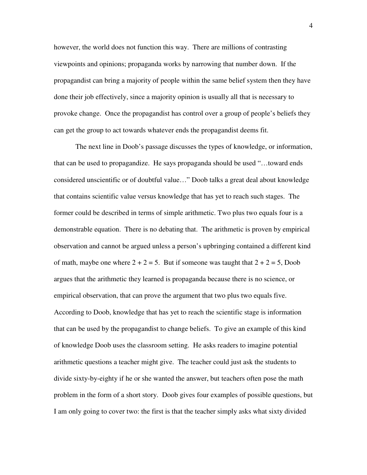however, the world does not function this way. There are millions of contrasting viewpoints and opinions; propaganda works by narrowing that number down. If the propagandist can bring a majority of people within the same belief system then they have done their job effectively, since a majority opinion is usually all that is necessary to provoke change. Once the propagandist has control over a group of people's beliefs they can get the group to act towards whatever ends the propagandist deems fit.

The next line in Doob's passage discusses the types of knowledge, or information, that can be used to propagandize. He says propaganda should be used "…toward ends considered unscientific or of doubtful value…" Doob talks a great deal about knowledge that contains scientific value versus knowledge that has yet to reach such stages. The former could be described in terms of simple arithmetic. Two plus two equals four is a demonstrable equation. There is no debating that. The arithmetic is proven by empirical observation and cannot be argued unless a person's upbringing contained a different kind of math, maybe one where  $2 + 2 = 5$ . But if someone was taught that  $2 + 2 = 5$ , Doob argues that the arithmetic they learned is propaganda because there is no science, or empirical observation, that can prove the argument that two plus two equals five. According to Doob, knowledge that has yet to reach the scientific stage is information that can be used by the propagandist to change beliefs. To give an example of this kind of knowledge Doob uses the classroom setting. He asks readers to imagine potential arithmetic questions a teacher might give. The teacher could just ask the students to divide sixty-by-eighty if he or she wanted the answer, but teachers often pose the math problem in the form of a short story. Doob gives four examples of possible questions, but I am only going to cover two: the first is that the teacher simply asks what sixty divided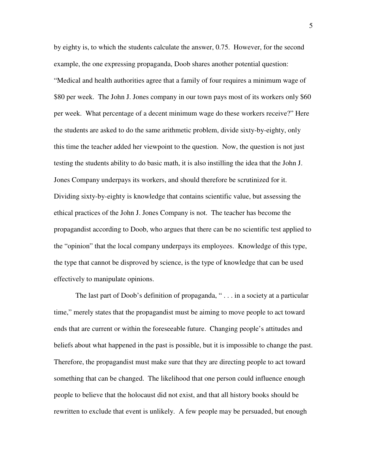by eighty is, to which the students calculate the answer, 0.75. However, for the second example, the one expressing propaganda, Doob shares another potential question: "Medical and health authorities agree that a family of four requires a minimum wage of \$80 per week. The John J. Jones company in our town pays most of its workers only \$60 per week. What percentage of a decent minimum wage do these workers receive?" Here the students are asked to do the same arithmetic problem, divide sixty-by-eighty, only this time the teacher added her viewpoint to the question. Now, the question is not just testing the students ability to do basic math, it is also instilling the idea that the John J. Jones Company underpays its workers, and should therefore be scrutinized for it. Dividing sixty-by-eighty is knowledge that contains scientific value, but assessing the ethical practices of the John J. Jones Company is not. The teacher has become the propagandist according to Doob, who argues that there can be no scientific test applied to the "opinion" that the local company underpays its employees. Knowledge of this type, the type that cannot be disproved by science, is the type of knowledge that can be used effectively to manipulate opinions.

The last part of Doob's definition of propaganda, "... in a society at a particular time," merely states that the propagandist must be aiming to move people to act toward ends that are current or within the foreseeable future. Changing people's attitudes and beliefs about what happened in the past is possible, but it is impossible to change the past. Therefore, the propagandist must make sure that they are directing people to act toward something that can be changed. The likelihood that one person could influence enough people to believe that the holocaust did not exist, and that all history books should be rewritten to exclude that event is unlikely. A few people may be persuaded, but enough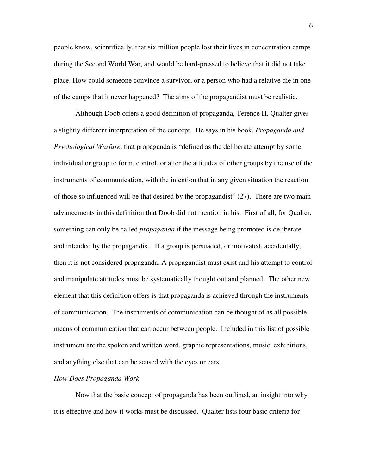people know, scientifically, that six million people lost their lives in concentration camps during the Second World War, and would be hard-pressed to believe that it did not take place. How could someone convince a survivor, or a person who had a relative die in one of the camps that it never happened? The aims of the propagandist must be realistic.

 Although Doob offers a good definition of propaganda, Terence H. Qualter gives a slightly different interpretation of the concept. He says in his book, *Propaganda and Psychological Warfare*, that propaganda is "defined as the deliberate attempt by some individual or group to form, control, or alter the attitudes of other groups by the use of the instruments of communication, with the intention that in any given situation the reaction of those so influenced will be that desired by the propagandist" (27). There are two main advancements in this definition that Doob did not mention in his. First of all, for Qualter, something can only be called *propaganda* if the message being promoted is deliberate and intended by the propagandist. If a group is persuaded, or motivated, accidentally, then it is not considered propaganda. A propagandist must exist and his attempt to control and manipulate attitudes must be systematically thought out and planned. The other new element that this definition offers is that propaganda is achieved through the instruments of communication. The instruments of communication can be thought of as all possible means of communication that can occur between people. Included in this list of possible instrument are the spoken and written word, graphic representations, music, exhibitions, and anything else that can be sensed with the eyes or ears.

#### *How Does Propaganda Work*

 Now that the basic concept of propaganda has been outlined, an insight into why it is effective and how it works must be discussed. Qualter lists four basic criteria for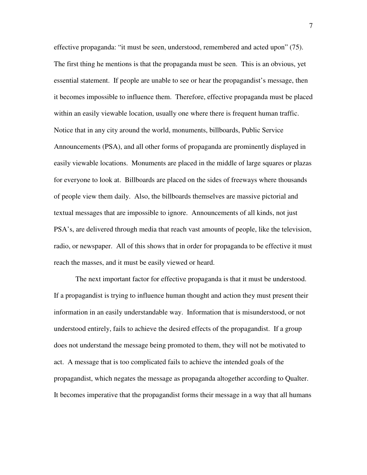effective propaganda: "it must be seen, understood, remembered and acted upon" (75). The first thing he mentions is that the propaganda must be seen. This is an obvious, yet essential statement. If people are unable to see or hear the propagandist's message, then it becomes impossible to influence them. Therefore, effective propaganda must be placed within an easily viewable location, usually one where there is frequent human traffic. Notice that in any city around the world, monuments, billboards, Public Service Announcements (PSA), and all other forms of propaganda are prominently displayed in easily viewable locations. Monuments are placed in the middle of large squares or plazas for everyone to look at. Billboards are placed on the sides of freeways where thousands of people view them daily. Also, the billboards themselves are massive pictorial and textual messages that are impossible to ignore. Announcements of all kinds, not just PSA's, are delivered through media that reach vast amounts of people, like the television, radio, or newspaper. All of this shows that in order for propaganda to be effective it must reach the masses, and it must be easily viewed or heard.

 The next important factor for effective propaganda is that it must be understood. If a propagandist is trying to influence human thought and action they must present their information in an easily understandable way. Information that is misunderstood, or not understood entirely, fails to achieve the desired effects of the propagandist. If a group does not understand the message being promoted to them, they will not be motivated to act. A message that is too complicated fails to achieve the intended goals of the propagandist, which negates the message as propaganda altogether according to Qualter. It becomes imperative that the propagandist forms their message in a way that all humans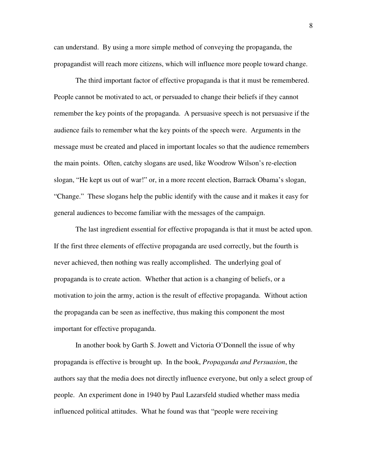can understand. By using a more simple method of conveying the propaganda, the propagandist will reach more citizens, which will influence more people toward change.

 The third important factor of effective propaganda is that it must be remembered. People cannot be motivated to act, or persuaded to change their beliefs if they cannot remember the key points of the propaganda. A persuasive speech is not persuasive if the audience fails to remember what the key points of the speech were. Arguments in the message must be created and placed in important locales so that the audience remembers the main points. Often, catchy slogans are used, like Woodrow Wilson's re-election slogan, "He kept us out of war!" or, in a more recent election, Barrack Obama's slogan, "Change." These slogans help the public identify with the cause and it makes it easy for general audiences to become familiar with the messages of the campaign.

 The last ingredient essential for effective propaganda is that it must be acted upon. If the first three elements of effective propaganda are used correctly, but the fourth is never achieved, then nothing was really accomplished. The underlying goal of propaganda is to create action. Whether that action is a changing of beliefs, or a motivation to join the army, action is the result of effective propaganda. Without action the propaganda can be seen as ineffective, thus making this component the most important for effective propaganda.

 In another book by Garth S. Jowett and Victoria O'Donnell the issue of why propaganda is effective is brought up. In the book, *Propaganda and Persuasion*, the authors say that the media does not directly influence everyone, but only a select group of people. An experiment done in 1940 by Paul Lazarsfeld studied whether mass media influenced political attitudes. What he found was that "people were receiving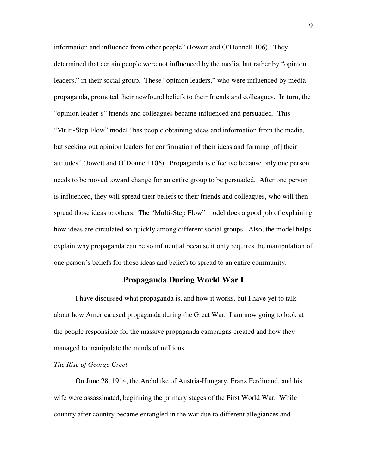information and influence from other people" (Jowett and O'Donnell 106). They determined that certain people were not influenced by the media, but rather by "opinion leaders," in their social group. These "opinion leaders," who were influenced by media propaganda, promoted their newfound beliefs to their friends and colleagues. In turn, the "opinion leader's" friends and colleagues became influenced and persuaded. This "Multi-Step Flow" model "has people obtaining ideas and information from the media, but seeking out opinion leaders for confirmation of their ideas and forming [of] their attitudes" (Jowett and O'Donnell 106). Propaganda is effective because only one person needs to be moved toward change for an entire group to be persuaded. After one person is influenced, they will spread their beliefs to their friends and colleagues, who will then spread those ideas to others. The "Multi-Step Flow" model does a good job of explaining how ideas are circulated so quickly among different social groups. Also, the model helps explain why propaganda can be so influential because it only requires the manipulation of one person's beliefs for those ideas and beliefs to spread to an entire community.

## **Propaganda During World War I**

I have discussed what propaganda is, and how it works, but I have yet to talk about how America used propaganda during the Great War. I am now going to look at the people responsible for the massive propaganda campaigns created and how they managed to manipulate the minds of millions.

#### *The Rise of George Creel*

On June 28, 1914, the Archduke of Austria-Hungary, Franz Ferdinand, and his wife were assassinated, beginning the primary stages of the First World War. While country after country became entangled in the war due to different allegiances and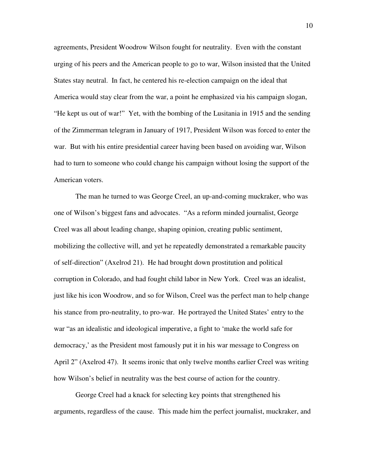agreements, President Woodrow Wilson fought for neutrality. Even with the constant urging of his peers and the American people to go to war, Wilson insisted that the United States stay neutral. In fact, he centered his re-election campaign on the ideal that America would stay clear from the war, a point he emphasized via his campaign slogan, "He kept us out of war!" Yet, with the bombing of the Lusitania in 1915 and the sending of the Zimmerman telegram in January of 1917, President Wilson was forced to enter the war. But with his entire presidential career having been based on avoiding war, Wilson had to turn to someone who could change his campaign without losing the support of the American voters.

The man he turned to was George Creel, an up-and-coming muckraker, who was one of Wilson's biggest fans and advocates. "As a reform minded journalist, George Creel was all about leading change, shaping opinion, creating public sentiment, mobilizing the collective will, and yet he repeatedly demonstrated a remarkable paucity of self-direction" (Axelrod 21). He had brought down prostitution and political corruption in Colorado, and had fought child labor in New York. Creel was an idealist, just like his icon Woodrow, and so for Wilson, Creel was the perfect man to help change his stance from pro-neutrality, to pro-war. He portrayed the United States' entry to the war "as an idealistic and ideological imperative, a fight to 'make the world safe for democracy,' as the President most famously put it in his war message to Congress on April 2" (Axelrod 47). It seems ironic that only twelve months earlier Creel was writing how Wilson's belief in neutrality was the best course of action for the country.

George Creel had a knack for selecting key points that strengthened his arguments, regardless of the cause. This made him the perfect journalist, muckraker, and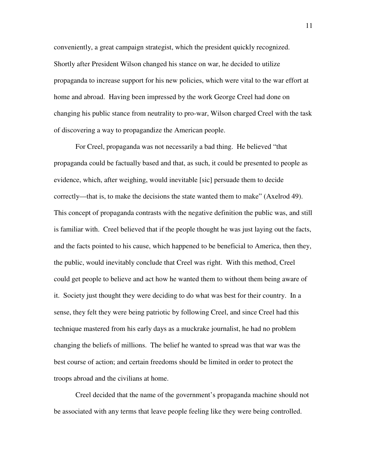conveniently, a great campaign strategist, which the president quickly recognized. Shortly after President Wilson changed his stance on war, he decided to utilize propaganda to increase support for his new policies, which were vital to the war effort at home and abroad. Having been impressed by the work George Creel had done on changing his public stance from neutrality to pro-war, Wilson charged Creel with the task of discovering a way to propagandize the American people.

For Creel, propaganda was not necessarily a bad thing. He believed "that propaganda could be factually based and that, as such, it could be presented to people as evidence, which, after weighing, would inevitable [sic] persuade them to decide correctly—that is, to make the decisions the state wanted them to make" (Axelrod 49). This concept of propaganda contrasts with the negative definition the public was, and still is familiar with. Creel believed that if the people thought he was just laying out the facts, and the facts pointed to his cause, which happened to be beneficial to America, then they, the public, would inevitably conclude that Creel was right. With this method, Creel could get people to believe and act how he wanted them to without them being aware of it. Society just thought they were deciding to do what was best for their country. In a sense, they felt they were being patriotic by following Creel, and since Creel had this technique mastered from his early days as a muckrake journalist, he had no problem changing the beliefs of millions. The belief he wanted to spread was that war was the best course of action; and certain freedoms should be limited in order to protect the troops abroad and the civilians at home.

Creel decided that the name of the government's propaganda machine should not be associated with any terms that leave people feeling like they were being controlled.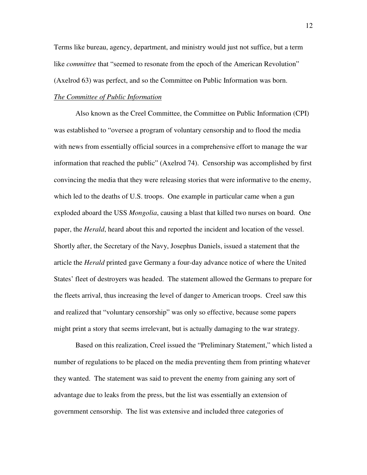Terms like bureau, agency, department, and ministry would just not suffice, but a term like *committee* that "seemed to resonate from the epoch of the American Revolution" (Axelrod 63) was perfect, and so the Committee on Public Information was born.

### *The Committee of Public Information*

Also known as the Creel Committee, the Committee on Public Information (CPI) was established to "oversee a program of voluntary censorship and to flood the media with news from essentially official sources in a comprehensive effort to manage the war information that reached the public" (Axelrod 74). Censorship was accomplished by first convincing the media that they were releasing stories that were informative to the enemy, which led to the deaths of U.S. troops. One example in particular came when a gun exploded aboard the USS *Mongolia*, causing a blast that killed two nurses on board. One paper, the *Herald*, heard about this and reported the incident and location of the vessel. Shortly after, the Secretary of the Navy, Josephus Daniels, issued a statement that the article the *Herald* printed gave Germany a four-day advance notice of where the United States' fleet of destroyers was headed. The statement allowed the Germans to prepare for the fleets arrival, thus increasing the level of danger to American troops. Creel saw this and realized that "voluntary censorship" was only so effective, because some papers might print a story that seems irrelevant, but is actually damaging to the war strategy.

Based on this realization, Creel issued the "Preliminary Statement," which listed a number of regulations to be placed on the media preventing them from printing whatever they wanted. The statement was said to prevent the enemy from gaining any sort of advantage due to leaks from the press, but the list was essentially an extension of government censorship. The list was extensive and included three categories of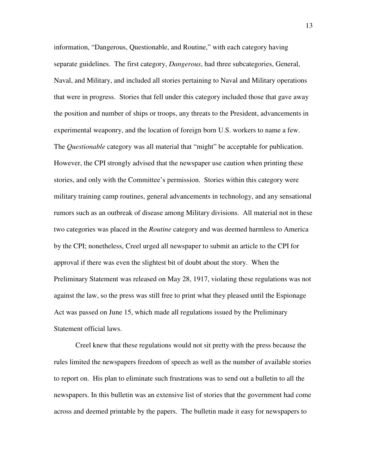information, "Dangerous, Questionable, and Routine," with each category having separate guidelines. The first category, *Dangerous*, had three subcategories, General, Naval, and Military, and included all stories pertaining to Naval and Military operations that were in progress. Stories that fell under this category included those that gave away the position and number of ships or troops, any threats to the President, advancements in experimental weaponry, and the location of foreign born U.S. workers to name a few. The *Questionable* category was all material that "might" be acceptable for publication. However, the CPI strongly advised that the newspaper use caution when printing these stories, and only with the Committee's permission. Stories within this category were military training camp routines, general advancements in technology, and any sensational rumors such as an outbreak of disease among Military divisions. All material not in these two categories was placed in the *Routine* category and was deemed harmless to America by the CPI; nonetheless, Creel urged all newspaper to submit an article to the CPI for approval if there was even the slightest bit of doubt about the story. When the Preliminary Statement was released on May 28, 1917, violating these regulations was not against the law, so the press was still free to print what they pleased until the Espionage Act was passed on June 15, which made all regulations issued by the Preliminary Statement official laws.

Creel knew that these regulations would not sit pretty with the press because the rules limited the newspapers freedom of speech as well as the number of available stories to report on. His plan to eliminate such frustrations was to send out a bulletin to all the newspapers. In this bulletin was an extensive list of stories that the government had come across and deemed printable by the papers. The bulletin made it easy for newspapers to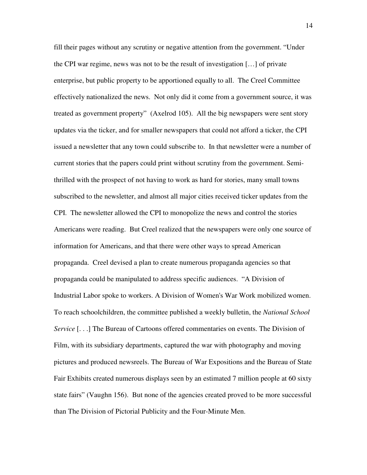fill their pages without any scrutiny or negative attention from the government. "Under the CPI war regime, news was not to be the result of investigation […] of private enterprise, but public property to be apportioned equally to all. The Creel Committee effectively nationalized the news. Not only did it come from a government source, it was treated as government property" (Axelrod 105). All the big newspapers were sent story updates via the ticker, and for smaller newspapers that could not afford a ticker, the CPI issued a newsletter that any town could subscribe to. In that newsletter were a number of current stories that the papers could print without scrutiny from the government. Semithrilled with the prospect of not having to work as hard for stories, many small towns subscribed to the newsletter, and almost all major cities received ticker updates from the CPI. The newsletter allowed the CPI to monopolize the news and control the stories Americans were reading. But Creel realized that the newspapers were only one source of information for Americans, and that there were other ways to spread American propaganda. Creel devised a plan to create numerous propaganda agencies so that propaganda could be manipulated to address specific audiences. "A Division of Industrial Labor spoke to workers. A Division of Women's War Work mobilized women. To reach schoolchildren, the committee published a weekly bulletin, the *National School Service* [...] The Bureau of Cartoons offered commentaries on events. The Division of Film, with its subsidiary departments, captured the war with photography and moving pictures and produced newsreels. The Bureau of War Expositions and the Bureau of State Fair Exhibits created numerous displays seen by an estimated 7 million people at 60 sixty state fairs" (Vaughn 156). But none of the agencies created proved to be more successful than The Division of Pictorial Publicity and the Four-Minute Men.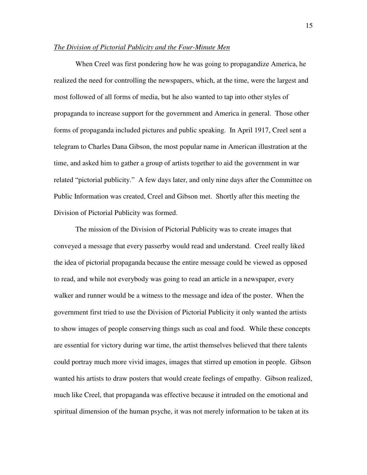#### *The Division of Pictorial Publicity and the Four-Minute Men*

When Creel was first pondering how he was going to propagandize America, he realized the need for controlling the newspapers, which, at the time, were the largest and most followed of all forms of media, but he also wanted to tap into other styles of propaganda to increase support for the government and America in general. Those other forms of propaganda included pictures and public speaking. In April 1917, Creel sent a telegram to Charles Dana Gibson, the most popular name in American illustration at the time, and asked him to gather a group of artists together to aid the government in war related "pictorial publicity." A few days later, and only nine days after the Committee on Public Information was created, Creel and Gibson met. Shortly after this meeting the Division of Pictorial Publicity was formed.

The mission of the Division of Pictorial Publicity was to create images that conveyed a message that every passerby would read and understand. Creel really liked the idea of pictorial propaganda because the entire message could be viewed as opposed to read, and while not everybody was going to read an article in a newspaper, every walker and runner would be a witness to the message and idea of the poster. When the government first tried to use the Division of Pictorial Publicity it only wanted the artists to show images of people conserving things such as coal and food. While these concepts are essential for victory during war time, the artist themselves believed that there talents could portray much more vivid images, images that stirred up emotion in people. Gibson wanted his artists to draw posters that would create feelings of empathy. Gibson realized, much like Creel, that propaganda was effective because it intruded on the emotional and spiritual dimension of the human psyche, it was not merely information to be taken at its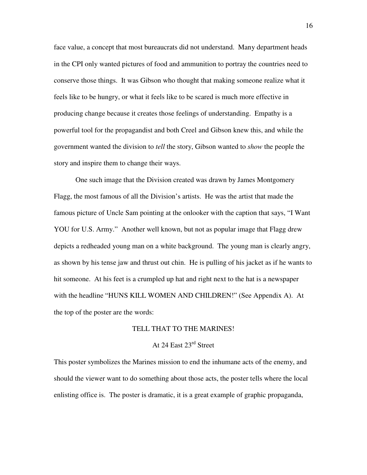face value, a concept that most bureaucrats did not understand. Many department heads in the CPI only wanted pictures of food and ammunition to portray the countries need to conserve those things. It was Gibson who thought that making someone realize what it feels like to be hungry, or what it feels like to be scared is much more effective in producing change because it creates those feelings of understanding. Empathy is a powerful tool for the propagandist and both Creel and Gibson knew this, and while the government wanted the division to *tell* the story, Gibson wanted to *show* the people the story and inspire them to change their ways.

One such image that the Division created was drawn by James Montgomery Flagg, the most famous of all the Division's artists. He was the artist that made the famous picture of Uncle Sam pointing at the onlooker with the caption that says, "I Want YOU for U.S. Army." Another well known, but not as popular image that Flagg drew depicts a redheaded young man on a white background. The young man is clearly angry, as shown by his tense jaw and thrust out chin. He is pulling of his jacket as if he wants to hit someone. At his feet is a crumpled up hat and right next to the hat is a newspaper with the headline "HUNS KILL WOMEN AND CHILDREN!" (See Appendix A). At the top of the poster are the words:

#### TELL THAT TO THE MARINES!

## At 24 East 23rd Street

This poster symbolizes the Marines mission to end the inhumane acts of the enemy, and should the viewer want to do something about those acts, the poster tells where the local enlisting office is. The poster is dramatic, it is a great example of graphic propaganda,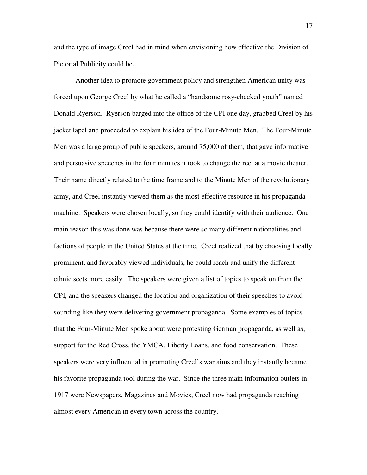and the type of image Creel had in mind when envisioning how effective the Division of Pictorial Publicity could be.

 Another idea to promote government policy and strengthen American unity was forced upon George Creel by what he called a "handsome rosy-cheeked youth" named Donald Ryerson. Ryerson barged into the office of the CPI one day, grabbed Creel by his jacket lapel and proceeded to explain his idea of the Four-Minute Men. The Four-Minute Men was a large group of public speakers, around 75,000 of them, that gave informative and persuasive speeches in the four minutes it took to change the reel at a movie theater. Their name directly related to the time frame and to the Minute Men of the revolutionary army, and Creel instantly viewed them as the most effective resource in his propaganda machine. Speakers were chosen locally, so they could identify with their audience. One main reason this was done was because there were so many different nationalities and factions of people in the United States at the time. Creel realized that by choosing locally prominent, and favorably viewed individuals, he could reach and unify the different ethnic sects more easily. The speakers were given a list of topics to speak on from the CPI, and the speakers changed the location and organization of their speeches to avoid sounding like they were delivering government propaganda. Some examples of topics that the Four-Minute Men spoke about were protesting German propaganda, as well as, support for the Red Cross, the YMCA, Liberty Loans, and food conservation. These speakers were very influential in promoting Creel's war aims and they instantly became his favorite propaganda tool during the war. Since the three main information outlets in 1917 were Newspapers, Magazines and Movies, Creel now had propaganda reaching almost every American in every town across the country.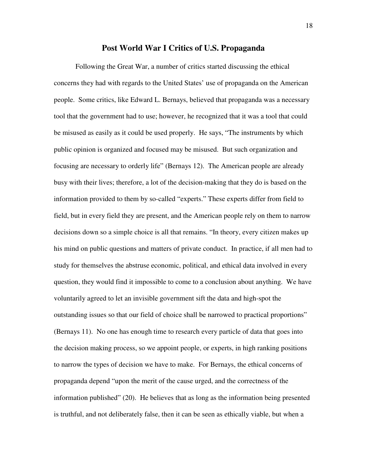#### **Post World War I Critics of U.S. Propaganda**

 Following the Great War, a number of critics started discussing the ethical concerns they had with regards to the United States' use of propaganda on the American people. Some critics, like Edward L. Bernays, believed that propaganda was a necessary tool that the government had to use; however, he recognized that it was a tool that could be misused as easily as it could be used properly. He says, "The instruments by which public opinion is organized and focused may be misused. But such organization and focusing are necessary to orderly life" (Bernays 12). The American people are already busy with their lives; therefore, a lot of the decision-making that they do is based on the information provided to them by so-called "experts." These experts differ from field to field, but in every field they are present, and the American people rely on them to narrow decisions down so a simple choice is all that remains. "In theory, every citizen makes up his mind on public questions and matters of private conduct. In practice, if all men had to study for themselves the abstruse economic, political, and ethical data involved in every question, they would find it impossible to come to a conclusion about anything. We have voluntarily agreed to let an invisible government sift the data and high-spot the outstanding issues so that our field of choice shall be narrowed to practical proportions" (Bernays 11). No one has enough time to research every particle of data that goes into the decision making process, so we appoint people, or experts, in high ranking positions to narrow the types of decision we have to make. For Bernays, the ethical concerns of propaganda depend "upon the merit of the cause urged, and the correctness of the information published" (20). He believes that as long as the information being presented is truthful, and not deliberately false, then it can be seen as ethically viable, but when a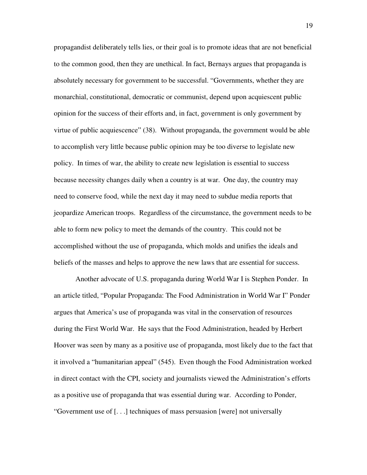propagandist deliberately tells lies, or their goal is to promote ideas that are not beneficial to the common good, then they are unethical. In fact, Bernays argues that propaganda is absolutely necessary for government to be successful. "Governments, whether they are monarchial, constitutional, democratic or communist, depend upon acquiescent public opinion for the success of their efforts and, in fact, government is only government by virtue of public acquiescence" (38). Without propaganda, the government would be able to accomplish very little because public opinion may be too diverse to legislate new policy. In times of war, the ability to create new legislation is essential to success because necessity changes daily when a country is at war. One day, the country may need to conserve food, while the next day it may need to subdue media reports that jeopardize American troops. Regardless of the circumstance, the government needs to be able to form new policy to meet the demands of the country. This could not be accomplished without the use of propaganda, which molds and unifies the ideals and beliefs of the masses and helps to approve the new laws that are essential for success.

 Another advocate of U.S. propaganda during World War I is Stephen Ponder. In an article titled, "Popular Propaganda: The Food Administration in World War I" Ponder argues that America's use of propaganda was vital in the conservation of resources during the First World War. He says that the Food Administration, headed by Herbert Hoover was seen by many as a positive use of propaganda, most likely due to the fact that it involved a "humanitarian appeal" (545). Even though the Food Administration worked in direct contact with the CPI, society and journalists viewed the Administration's efforts as a positive use of propaganda that was essential during war. According to Ponder, "Government use of [. . .] techniques of mass persuasion [were] not universally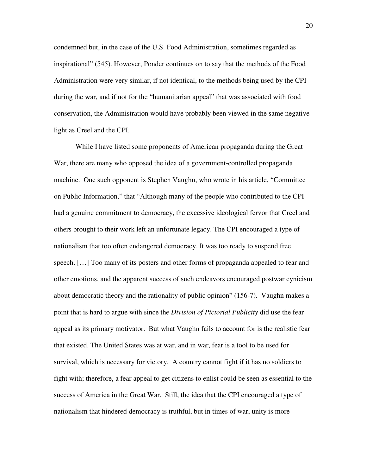condemned but, in the case of the U.S. Food Administration, sometimes regarded as inspirational" (545). However, Ponder continues on to say that the methods of the Food Administration were very similar, if not identical, to the methods being used by the CPI during the war, and if not for the "humanitarian appeal" that was associated with food conservation, the Administration would have probably been viewed in the same negative light as Creel and the CPI.

 While I have listed some proponents of American propaganda during the Great War, there are many who opposed the idea of a government-controlled propaganda machine. One such opponent is Stephen Vaughn, who wrote in his article, "Committee on Public Information," that "Although many of the people who contributed to the CPI had a genuine commitment to democracy, the excessive ideological fervor that Creel and others brought to their work left an unfortunate legacy. The CPI encouraged a type of nationalism that too often endangered democracy. It was too ready to suspend free speech. […] Too many of its posters and other forms of propaganda appealed to fear and other emotions, and the apparent success of such endeavors encouraged postwar cynicism about democratic theory and the rationality of public opinion" (156-7). Vaughn makes a point that is hard to argue with since the *Division of Pictorial Publicity* did use the fear appeal as its primary motivator. But what Vaughn fails to account for is the realistic fear that existed. The United States was at war, and in war, fear is a tool to be used for survival, which is necessary for victory. A country cannot fight if it has no soldiers to fight with; therefore, a fear appeal to get citizens to enlist could be seen as essential to the success of America in the Great War. Still, the idea that the CPI encouraged a type of nationalism that hindered democracy is truthful, but in times of war, unity is more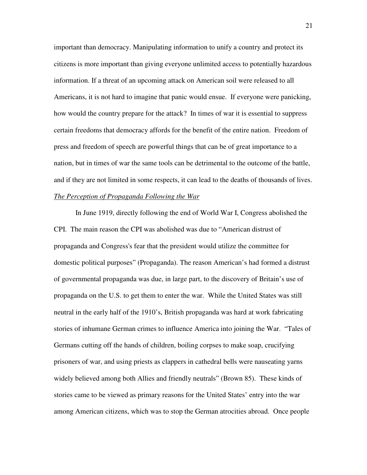important than democracy. Manipulating information to unify a country and protect its citizens is more important than giving everyone unlimited access to potentially hazardous information. If a threat of an upcoming attack on American soil were released to all Americans, it is not hard to imagine that panic would ensue. If everyone were panicking, how would the country prepare for the attack? In times of war it is essential to suppress certain freedoms that democracy affords for the benefit of the entire nation. Freedom of press and freedom of speech are powerful things that can be of great importance to a nation, but in times of war the same tools can be detrimental to the outcome of the battle, and if they are not limited in some respects, it can lead to the deaths of thousands of lives. *The Perception of Propaganda Following the War*

In June 1919, directly following the end of World War I, Congress abolished the CPI. The main reason the CPI was abolished was due to "American distrust of propaganda and Congress's fear that the president would utilize the committee for domestic political purposes" (Propaganda). The reason American's had formed a distrust of governmental propaganda was due, in large part, to the discovery of Britain's use of propaganda on the U.S. to get them to enter the war. While the United States was still neutral in the early half of the 1910's, British propaganda was hard at work fabricating stories of inhumane German crimes to influence America into joining the War. "Tales of Germans cutting off the hands of children, boiling corpses to make soap, crucifying prisoners of war, and using priests as clappers in cathedral bells were nauseating yarns widely believed among both Allies and friendly neutrals" (Brown 85). These kinds of stories came to be viewed as primary reasons for the United States' entry into the war among American citizens, which was to stop the German atrocities abroad. Once people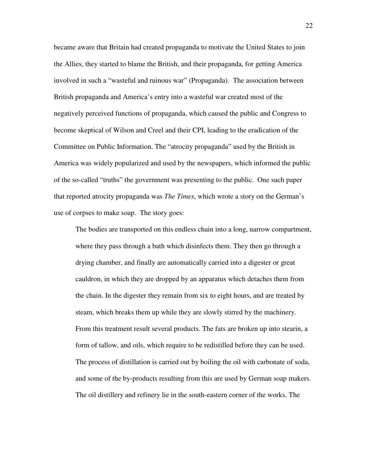became aware that Britain had created propaganda to motivate the United States to join the Allies, they started to blame the British, and their propaganda, for getting America involved in such a "wasteful and ruinous war" (Propaganda). The association between British propaganda and America's entry into a wasteful war created most of the negatively perceived functions of propaganda, which caused the public and Congress to become skeptical of Wilson and Creel and their CPI, leading to the eradication of the Committee on Public Information. The "atrocity propaganda" used by the British in America was widely popularized and used by the newspapers, which informed the public of the so-called "truths" the government was presenting to the public. One such paper that reported atrocity propaganda was *The Times*, which wrote a story on the German's use of corpses to make soap. The story goes:

The bodies are transported on this endless chain into a long, narrow compartment, where they pass through a bath which disinfects them. They then go through a drying chamber, and finally are automatically carried into a digester or great cauldron, in which they are dropped by an apparatus which detaches them from the chain. In the digester they remain from six to eight hours, and are treated by steam, which breaks them up while they are slowly stirred by the machinery. From this treatment result several products. The fats are broken up into stearin, a form of tallow, and oils, which require to be redistilled before they can be used. The process of distillation is carried out by boiling the oil with carbonate of soda, and some of the by-products resulting from this are used by German soap makers. The oil distillery and refinery lie in the south-eastern corner of the works. The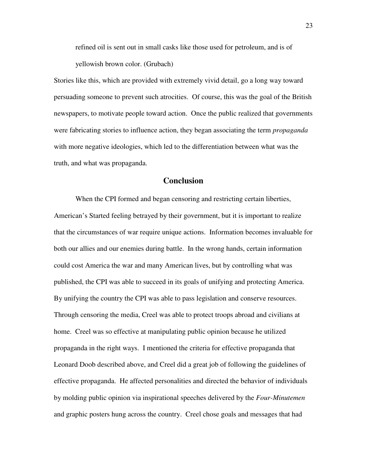refined oil is sent out in small casks like those used for petroleum, and is of yellowish brown color. (Grubach)

Stories like this, which are provided with extremely vivid detail, go a long way toward persuading someone to prevent such atrocities. Of course, this was the goal of the British newspapers, to motivate people toward action. Once the public realized that governments were fabricating stories to influence action, they began associating the term *propaganda* with more negative ideologies, which led to the differentiation between what was the truth, and what was propaganda.

### **Conclusion**

When the CPI formed and began censoring and restricting certain liberties, American's Started feeling betrayed by their government, but it is important to realize that the circumstances of war require unique actions. Information becomes invaluable for both our allies and our enemies during battle. In the wrong hands, certain information could cost America the war and many American lives, but by controlling what was published, the CPI was able to succeed in its goals of unifying and protecting America. By unifying the country the CPI was able to pass legislation and conserve resources. Through censoring the media, Creel was able to protect troops abroad and civilians at home. Creel was so effective at manipulating public opinion because he utilized propaganda in the right ways. I mentioned the criteria for effective propaganda that Leonard Doob described above, and Creel did a great job of following the guidelines of effective propaganda. He affected personalities and directed the behavior of individuals by molding public opinion via inspirational speeches delivered by the *Four-Minutemen* and graphic posters hung across the country. Creel chose goals and messages that had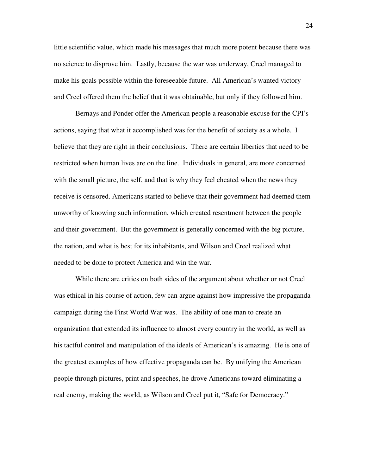little scientific value, which made his messages that much more potent because there was no science to disprove him. Lastly, because the war was underway, Creel managed to make his goals possible within the foreseeable future. All American's wanted victory and Creel offered them the belief that it was obtainable, but only if they followed him.

Bernays and Ponder offer the American people a reasonable excuse for the CPI's actions, saying that what it accomplished was for the benefit of society as a whole. I believe that they are right in their conclusions. There are certain liberties that need to be restricted when human lives are on the line. Individuals in general, are more concerned with the small picture, the self, and that is why they feel cheated when the news they receive is censored. Americans started to believe that their government had deemed them unworthy of knowing such information, which created resentment between the people and their government. But the government is generally concerned with the big picture, the nation, and what is best for its inhabitants, and Wilson and Creel realized what needed to be done to protect America and win the war.

While there are critics on both sides of the argument about whether or not Creel was ethical in his course of action, few can argue against how impressive the propaganda campaign during the First World War was. The ability of one man to create an organization that extended its influence to almost every country in the world, as well as his tactful control and manipulation of the ideals of American's is amazing. He is one of the greatest examples of how effective propaganda can be. By unifying the American people through pictures, print and speeches, he drove Americans toward eliminating a real enemy, making the world, as Wilson and Creel put it, "Safe for Democracy."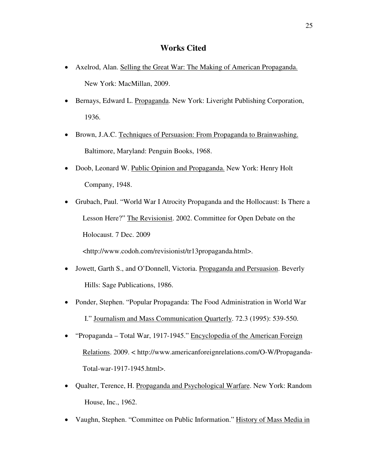## **Works Cited**

- Axelrod, Alan. Selling the Great War: The Making of American Propaganda. New York: MacMillan, 2009.
- Bernays, Edward L. Propaganda. New York: Liveright Publishing Corporation, 1936.
- Brown, J.A.C. Techniques of Persuasion: From Propaganda to Brainwashing. Baltimore, Maryland: Penguin Books, 1968.
- Doob, Leonard W. Public Opinion and Propaganda. New York: Henry Holt Company, 1948.
- Grubach, Paul. "World War I Atrocity Propaganda and the Hollocaust: Is There a Lesson Here?" The Revisionist. 2002. Committee for Open Debate on the Holocaust. 7 Dec. 2009

<http://www.codoh.com/revisionist/tr13propaganda.html>.

- Jowett, Garth S., and O'Donnell, Victoria. Propaganda and Persuasion. Beverly Hills: Sage Publications, 1986.
- Ponder, Stephen. "Popular Propaganda: The Food Administration in World War I." Journalism and Mass Communication Quarterly. 72.3 (1995): 539-550.
- "Propaganda Total War, 1917-1945." Encyclopedia of the American Foreign Relations. 2009. < http://www.americanforeignrelations.com/O-W/Propaganda-Total-war-1917-1945.html>.
- Qualter, Terence, H. Propaganda and Psychological Warfare. New York: Random House, Inc., 1962.
- Vaughn, Stephen. "Committee on Public Information." History of Mass Media in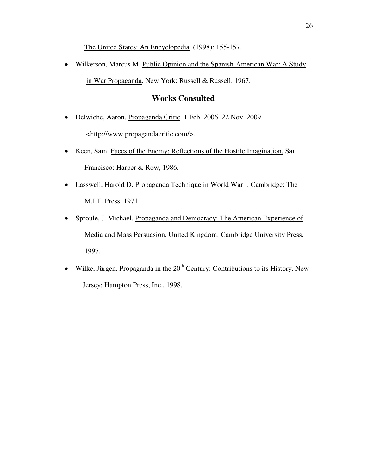The United States: An Encyclopedia. (1998): 155-157.

• Wilkerson, Marcus M. Public Opinion and the Spanish-American War: A Study in War Propaganda. New York: Russell & Russell. 1967.

## **Works Consulted**

- Delwiche, Aaron. Propaganda Critic. 1 Feb. 2006. 22 Nov. 2009 <http://www.propagandacritic.com/>.
- Keen, Sam. Faces of the Enemy: Reflections of the Hostile Imagination. San Francisco: Harper & Row, 1986.
- Lasswell, Harold D. Propaganda Technique in World War I. Cambridge: The M.I.T. Press, 1971.
- Sproule, J. Michael. Propaganda and Democracy: The American Experience of Media and Mass Persuasion. United Kingdom: Cambridge University Press, 1997.
- Wilke, Jürgen. Propaganda in the  $20<sup>th</sup>$  Century: Contributions to its History. New Jersey: Hampton Press, Inc., 1998.